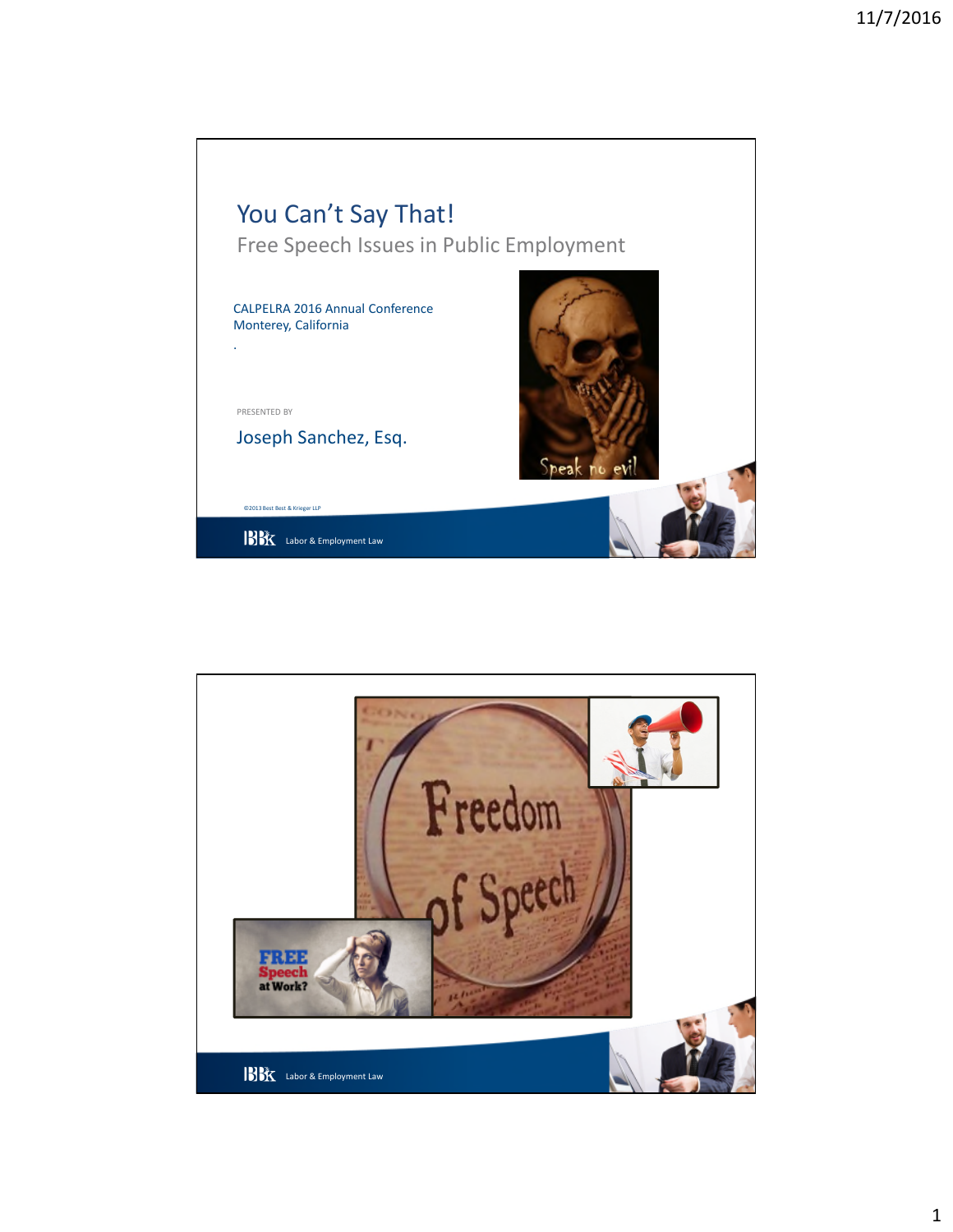

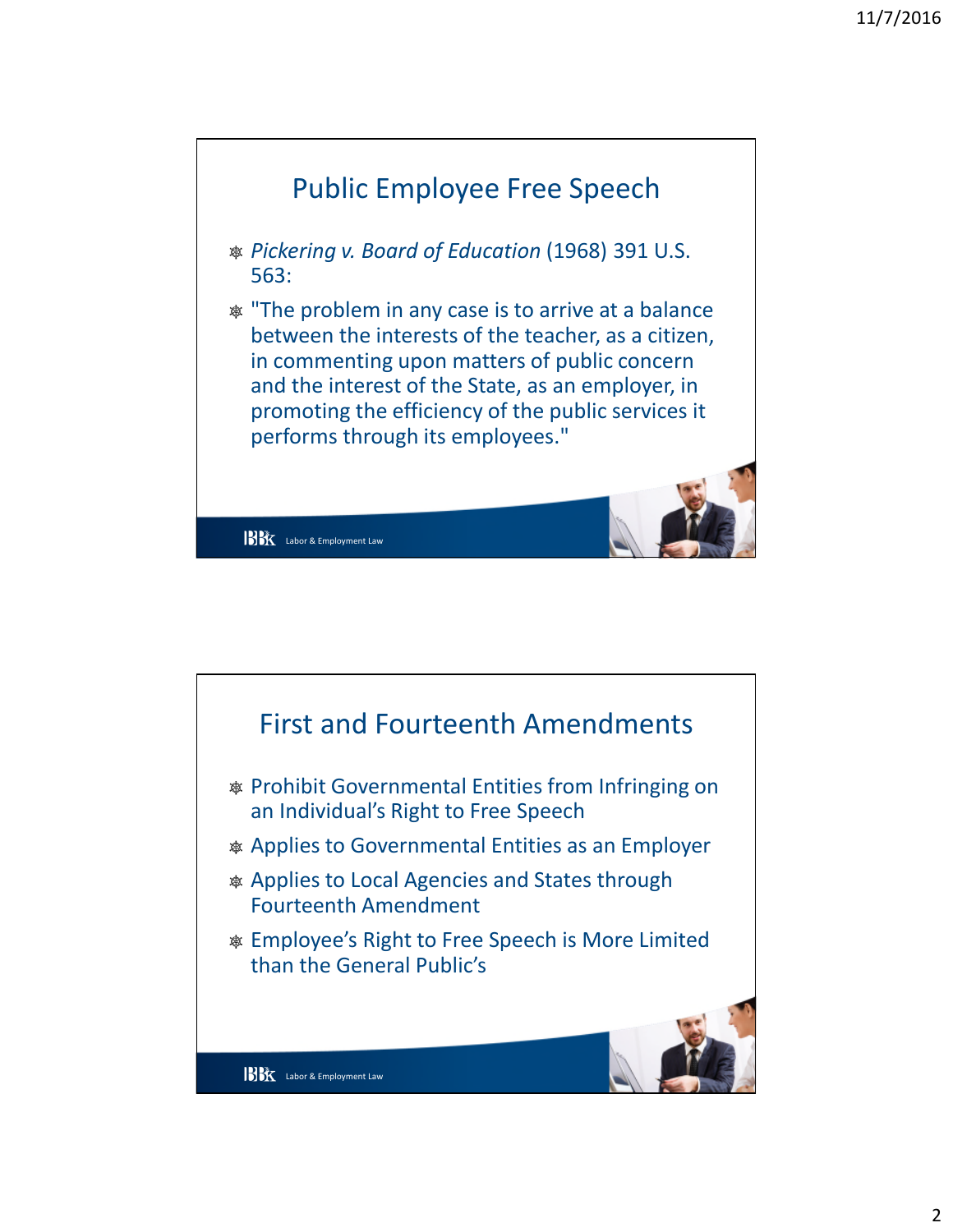

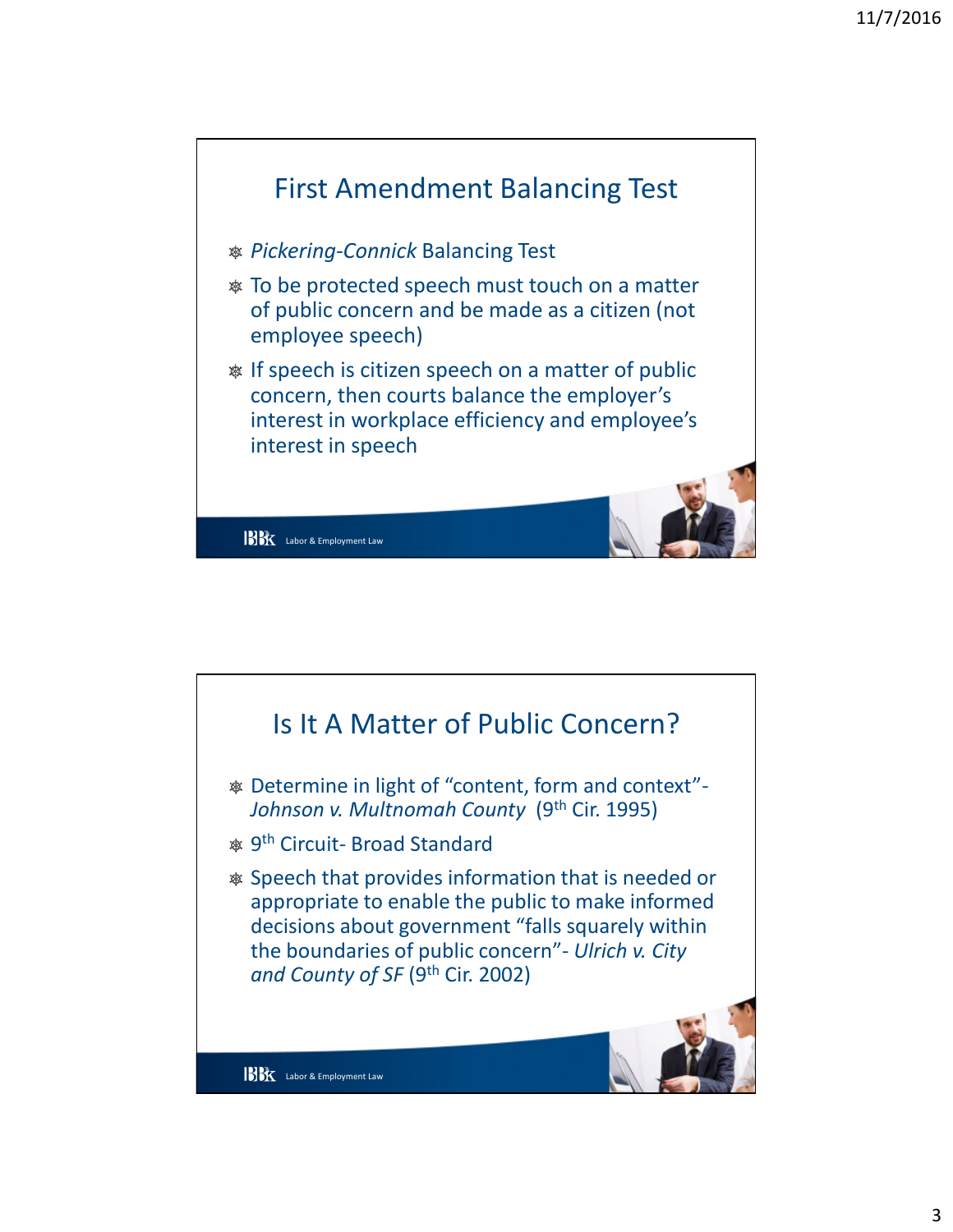

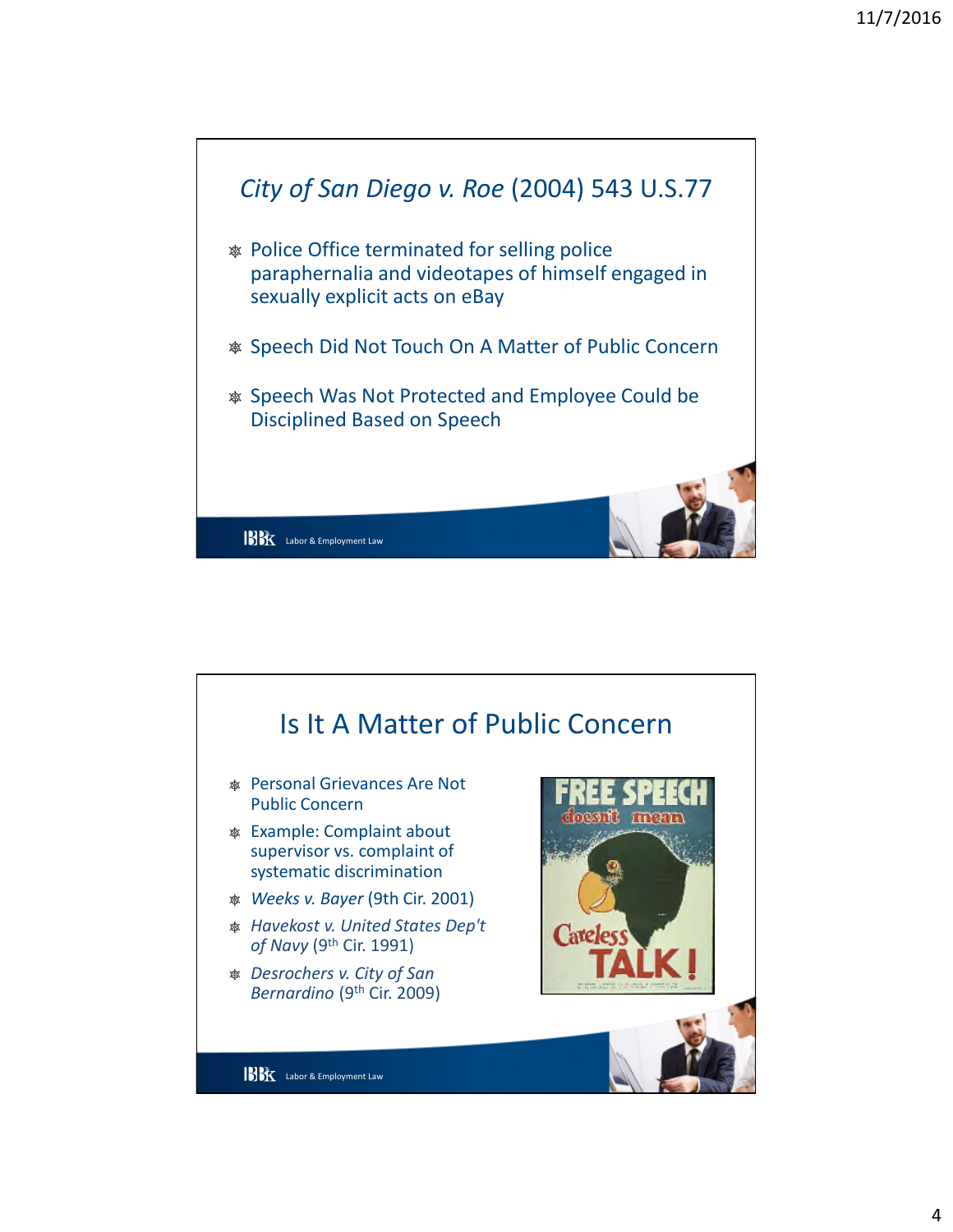

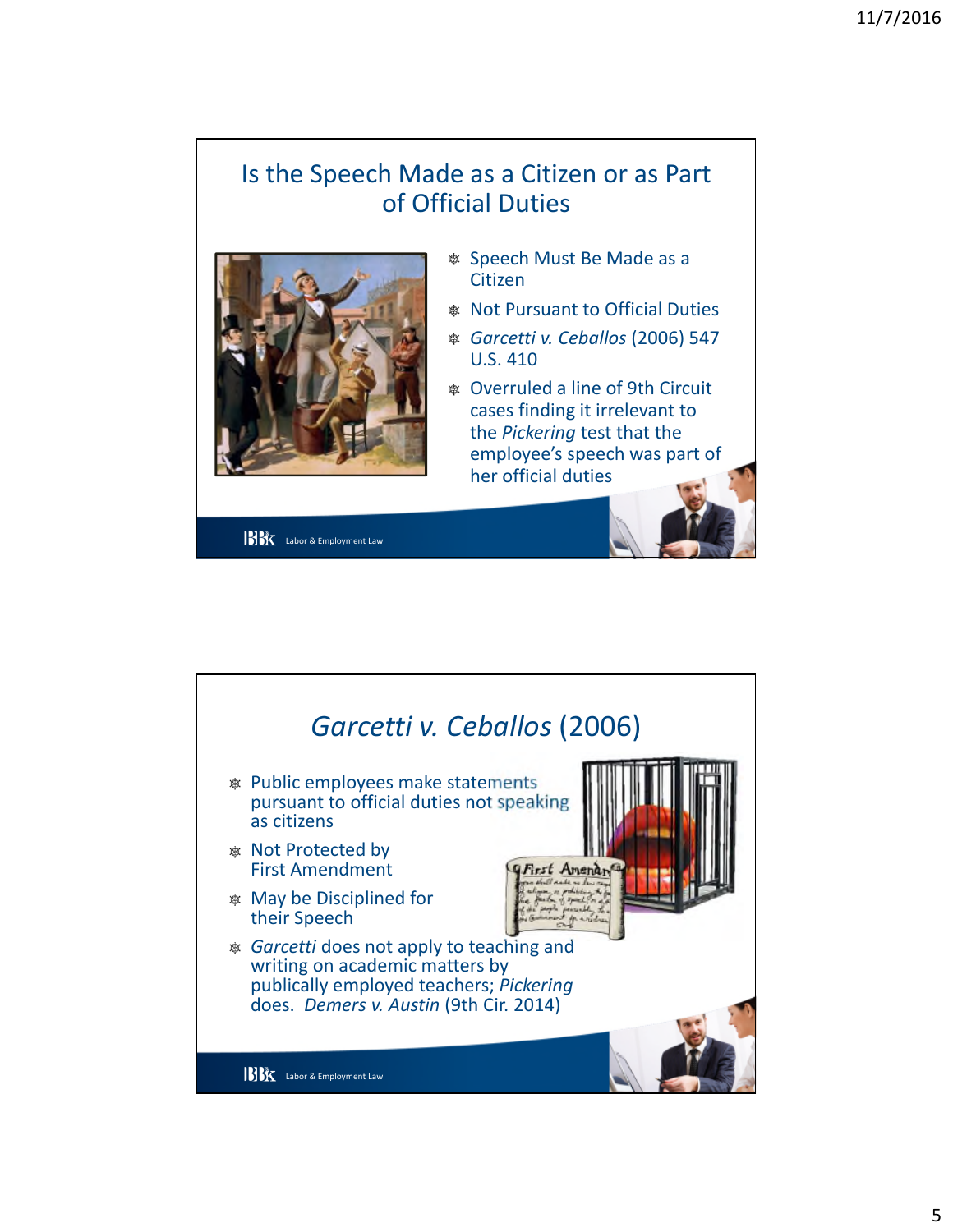## Is the Speech Made as a Citizen or as Part of Official Duties



**BK** Labor & Employment Law

- \* Speech Must Be Made as a Citizen
- **& Not Pursuant to Official Duties**
- <sup>®</sup> Garcetti v. Ceballos (2006) 547 **U.S. 410**
- \* Overruled a line of 9th Circuit cases finding it irrelevant to the Pickering test that the employee's speech was part of her official duties

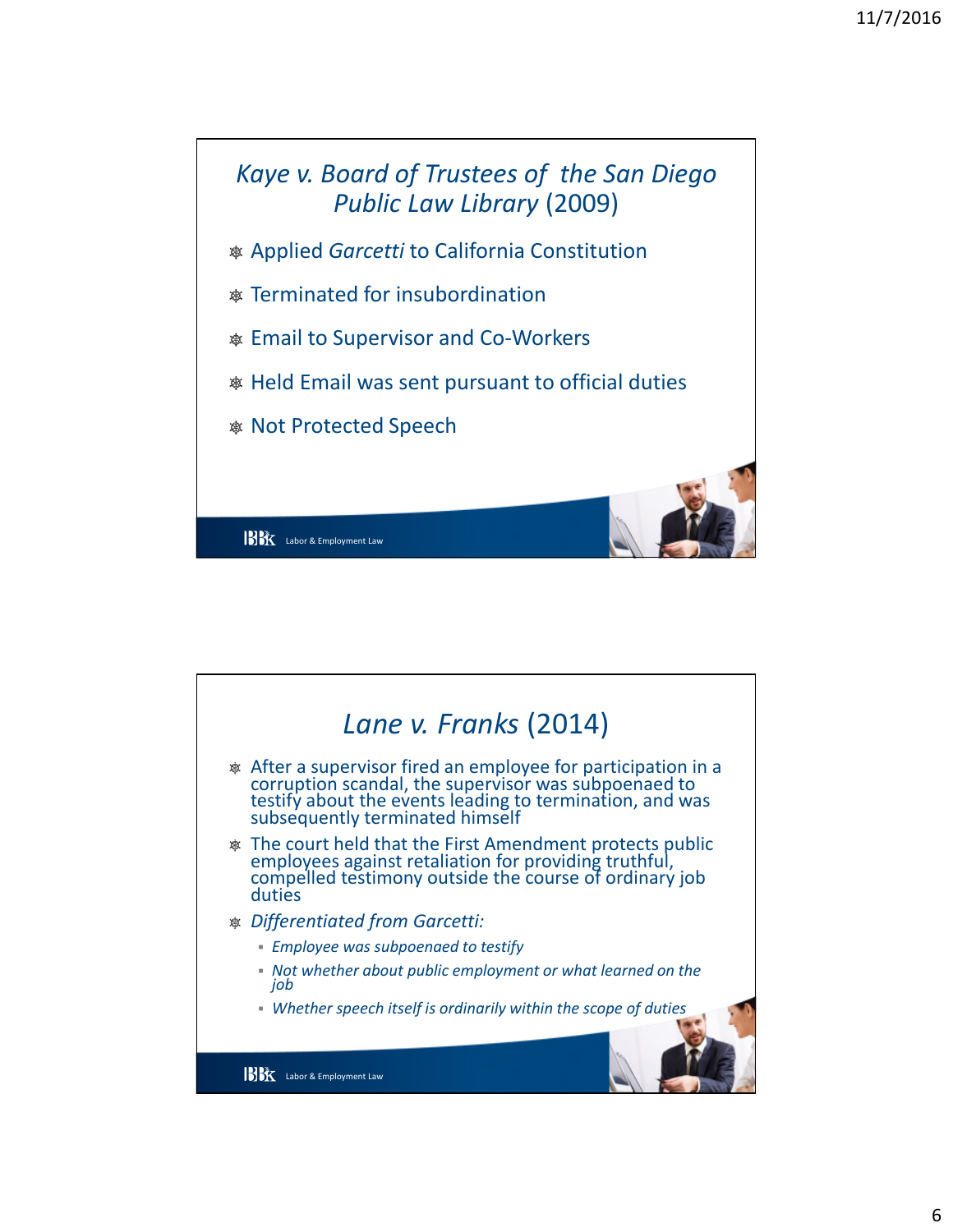

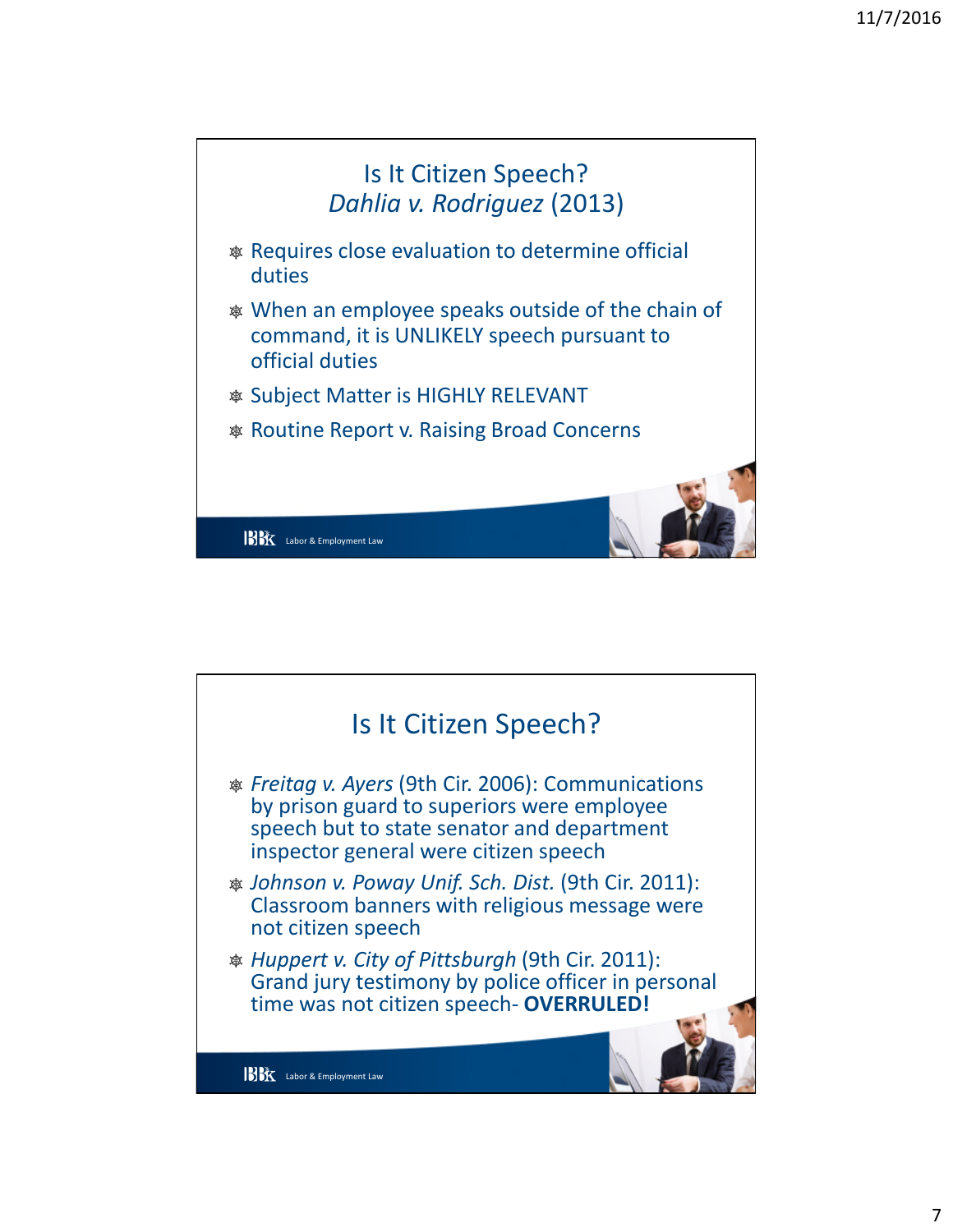

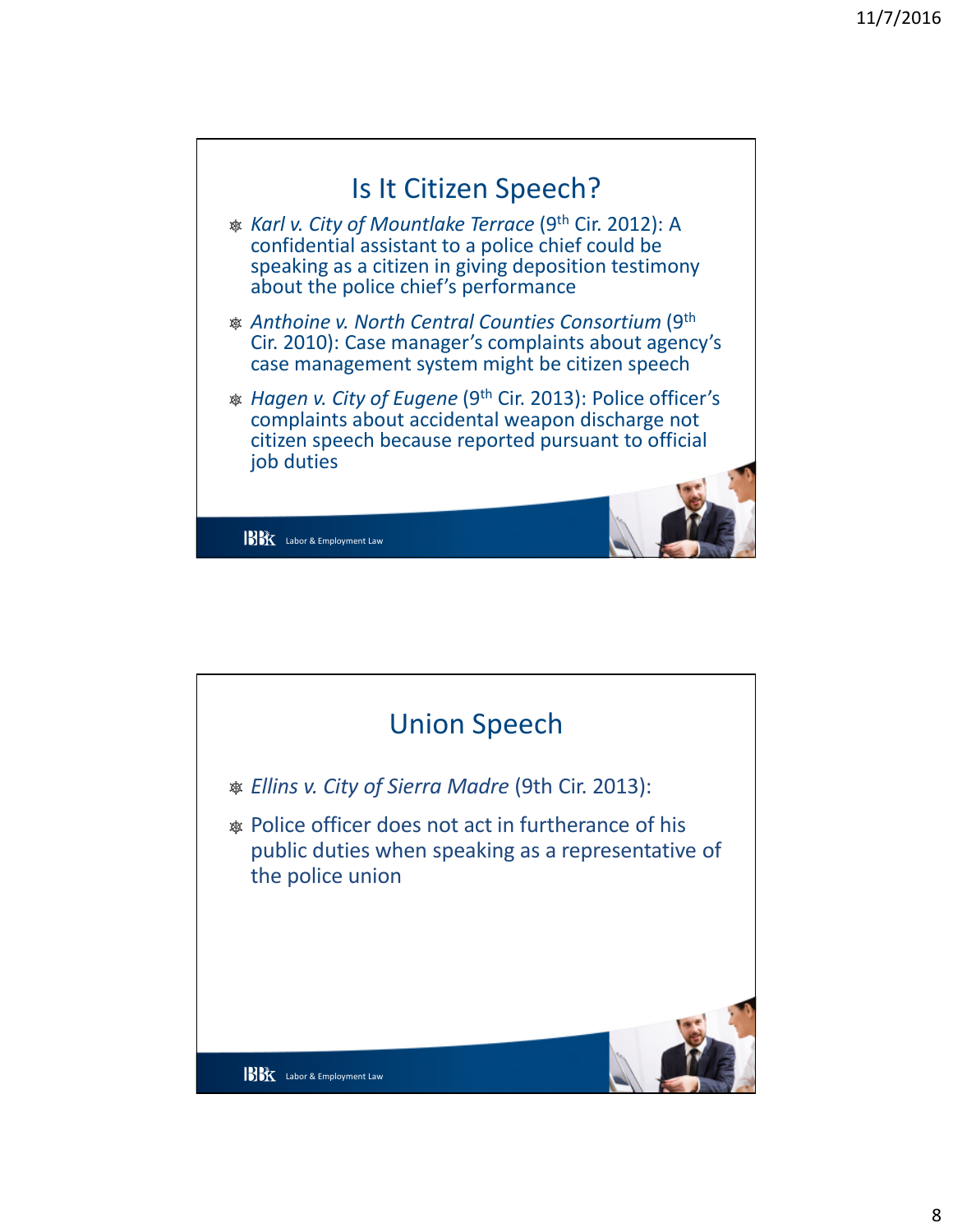

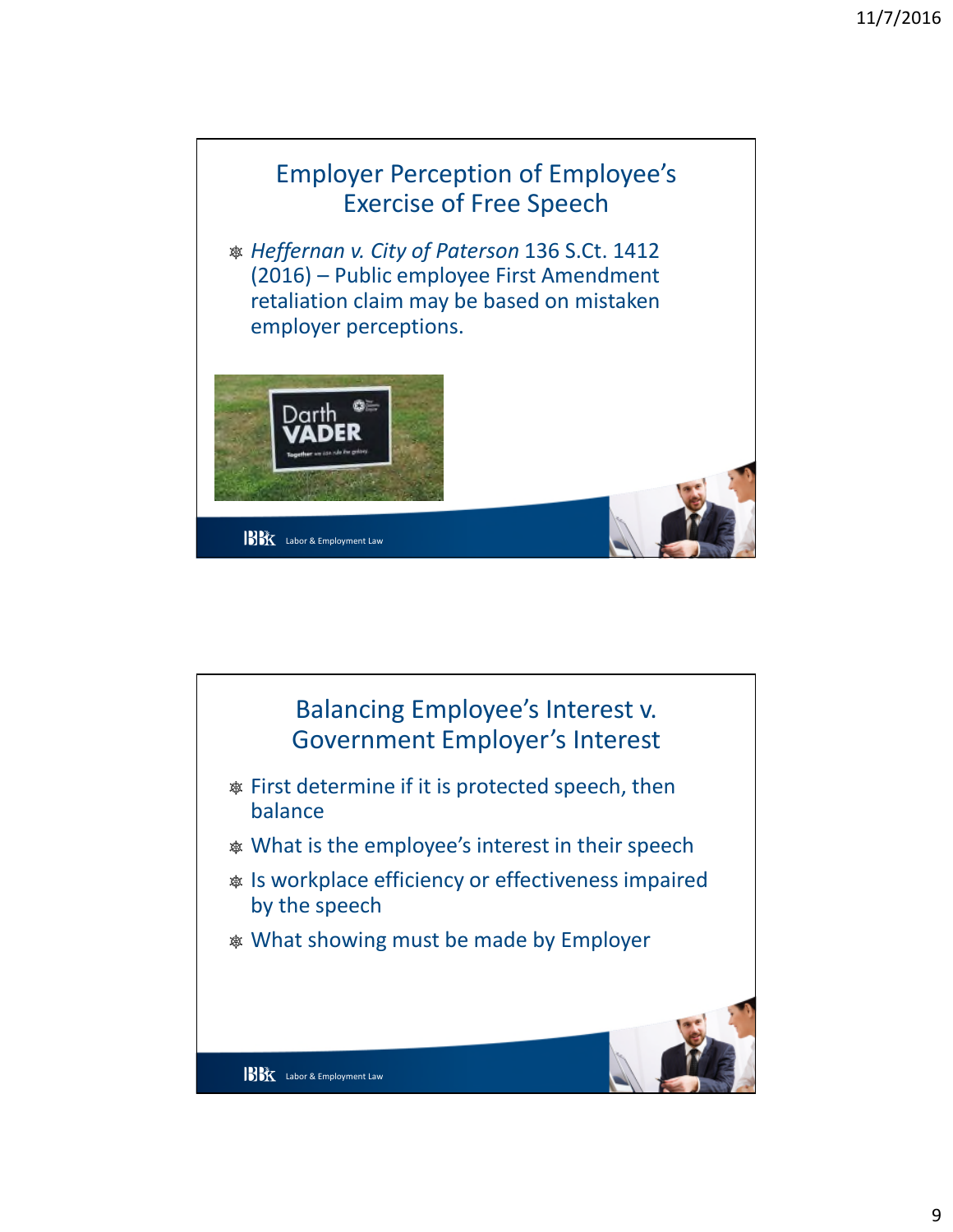

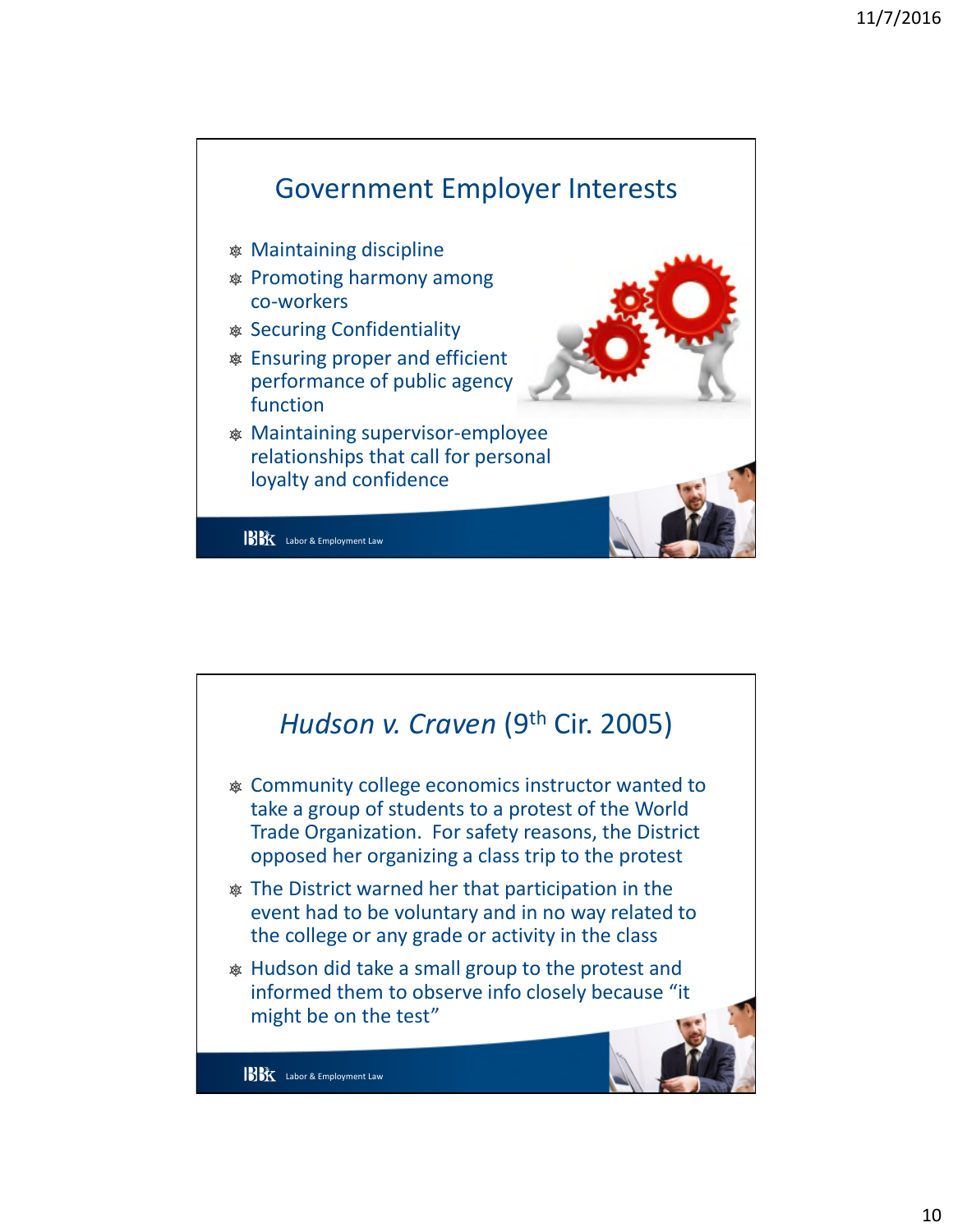

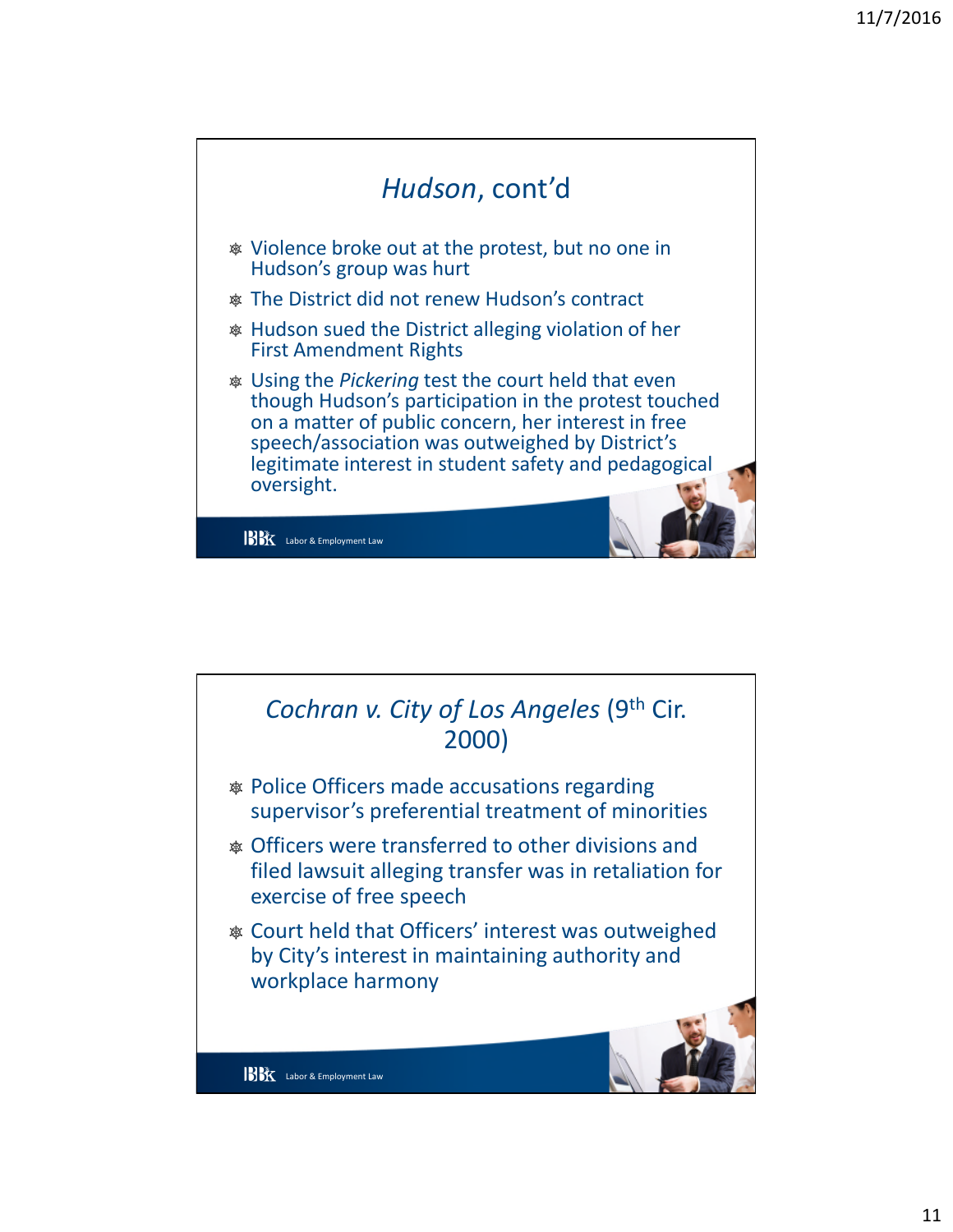

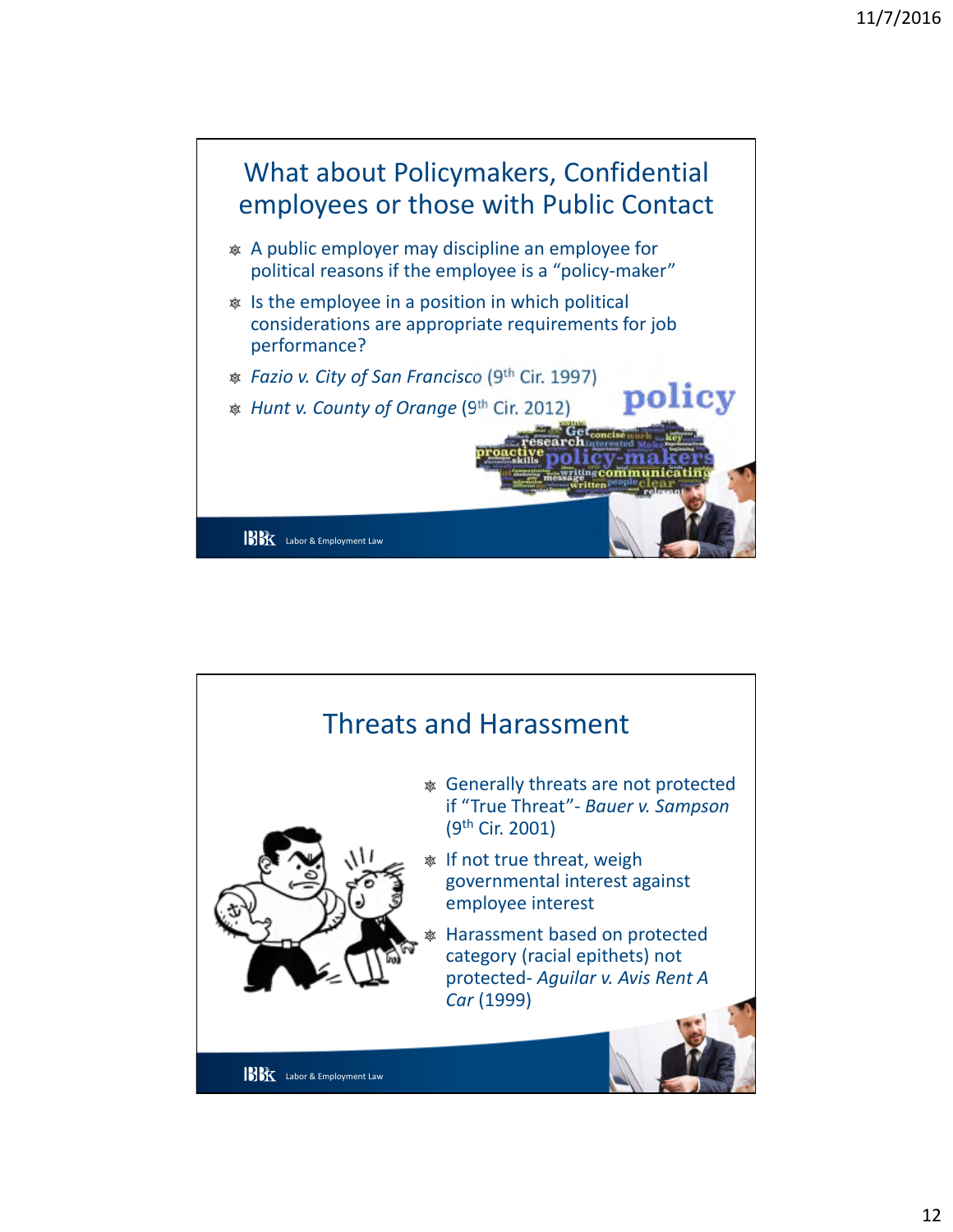

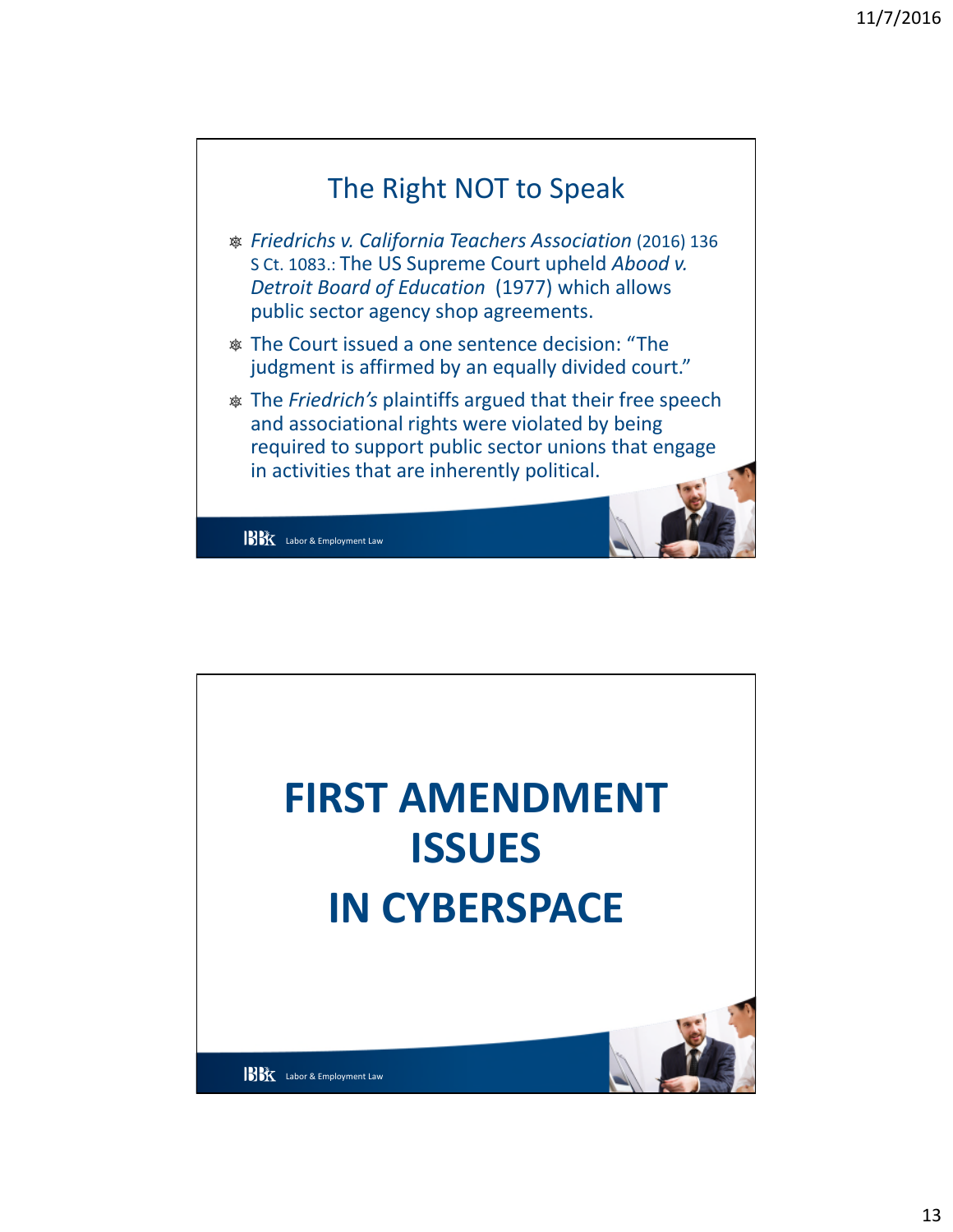

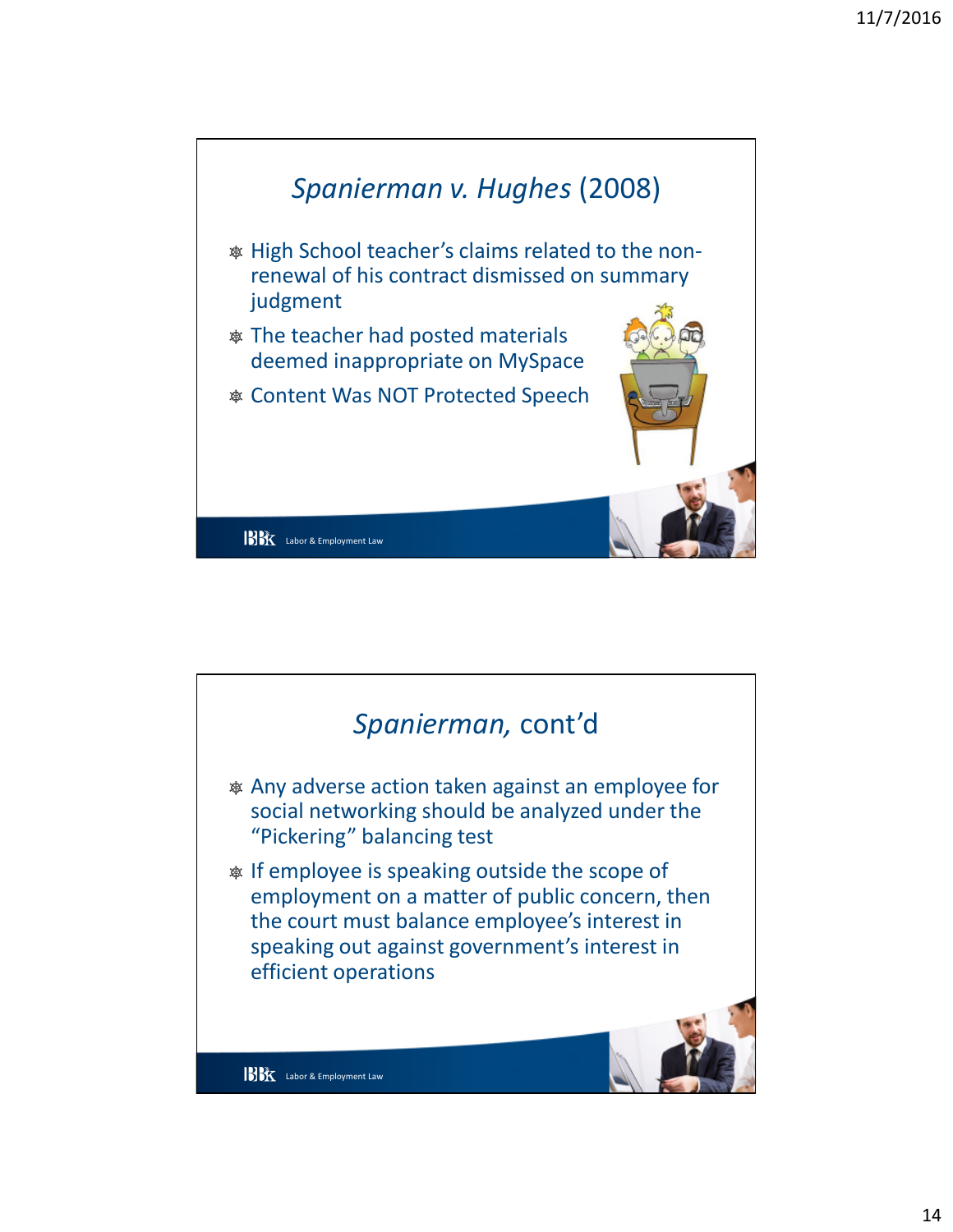

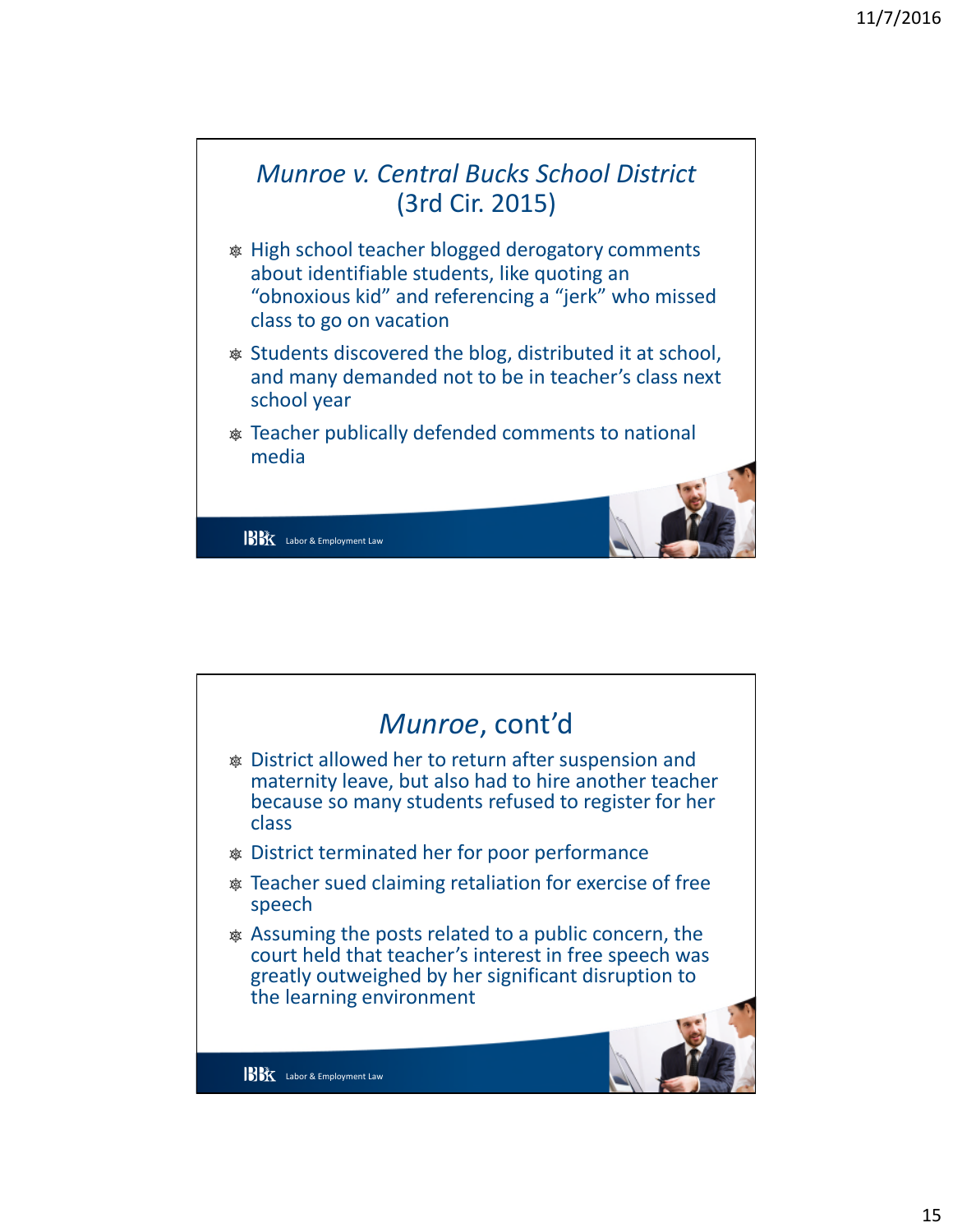

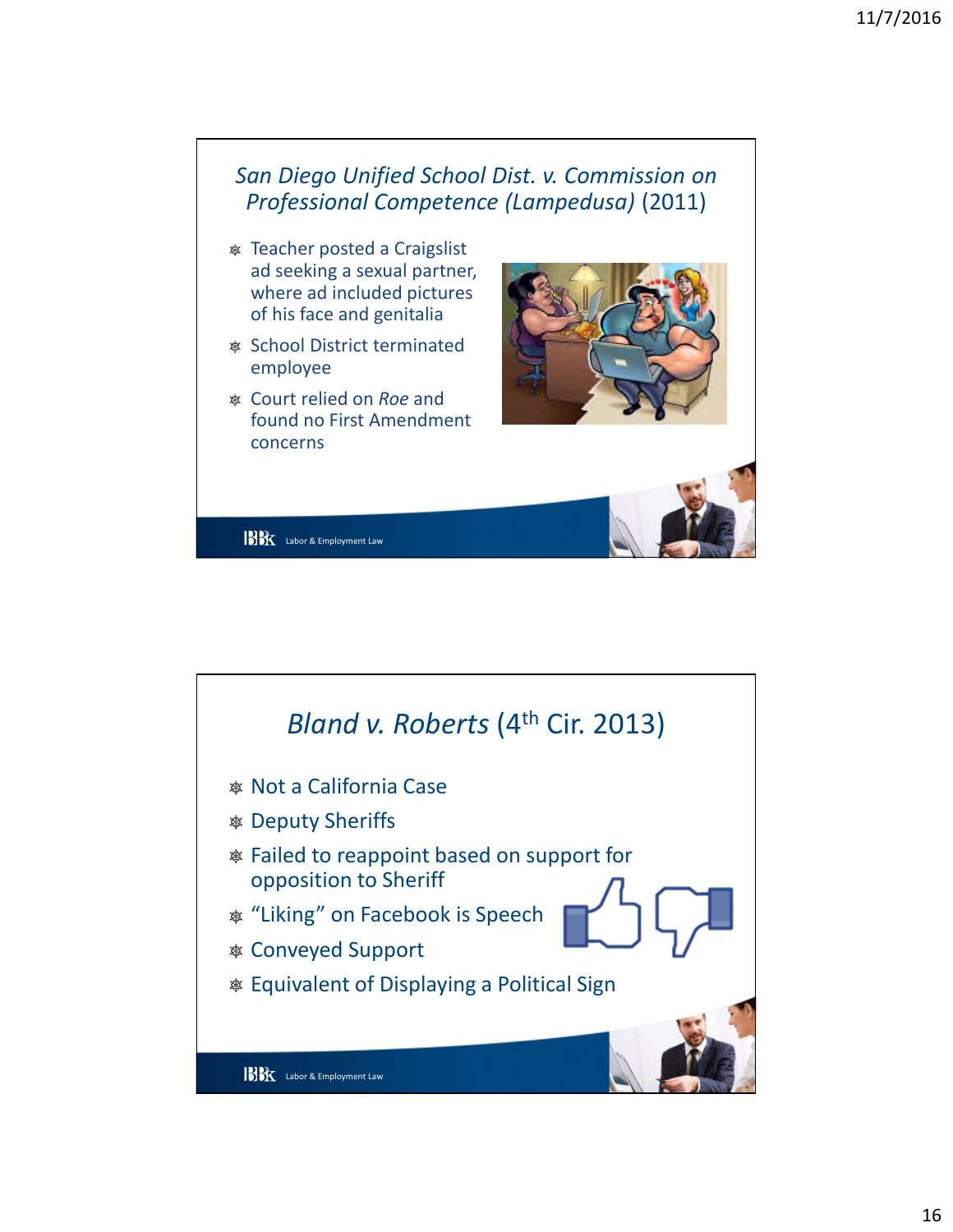

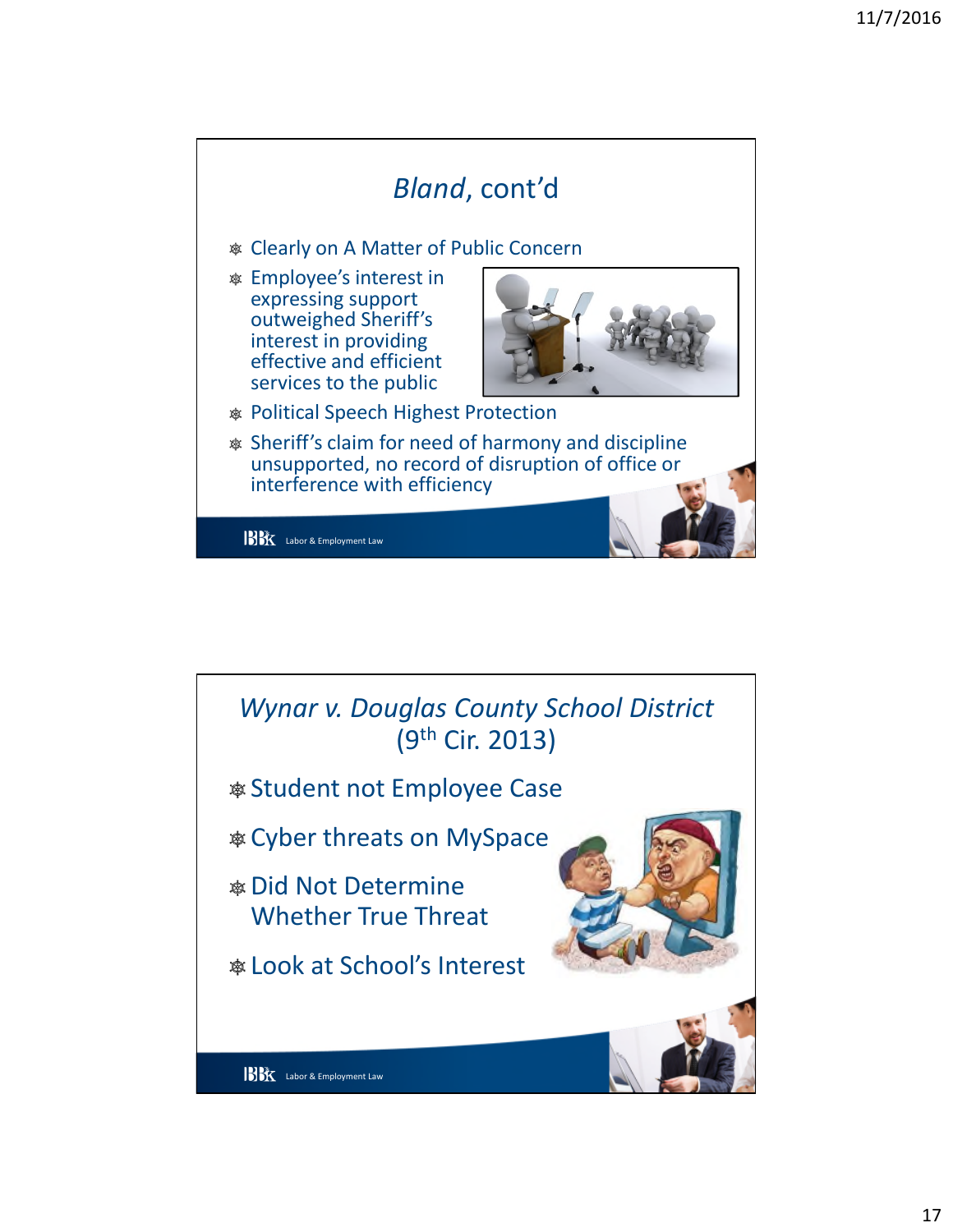

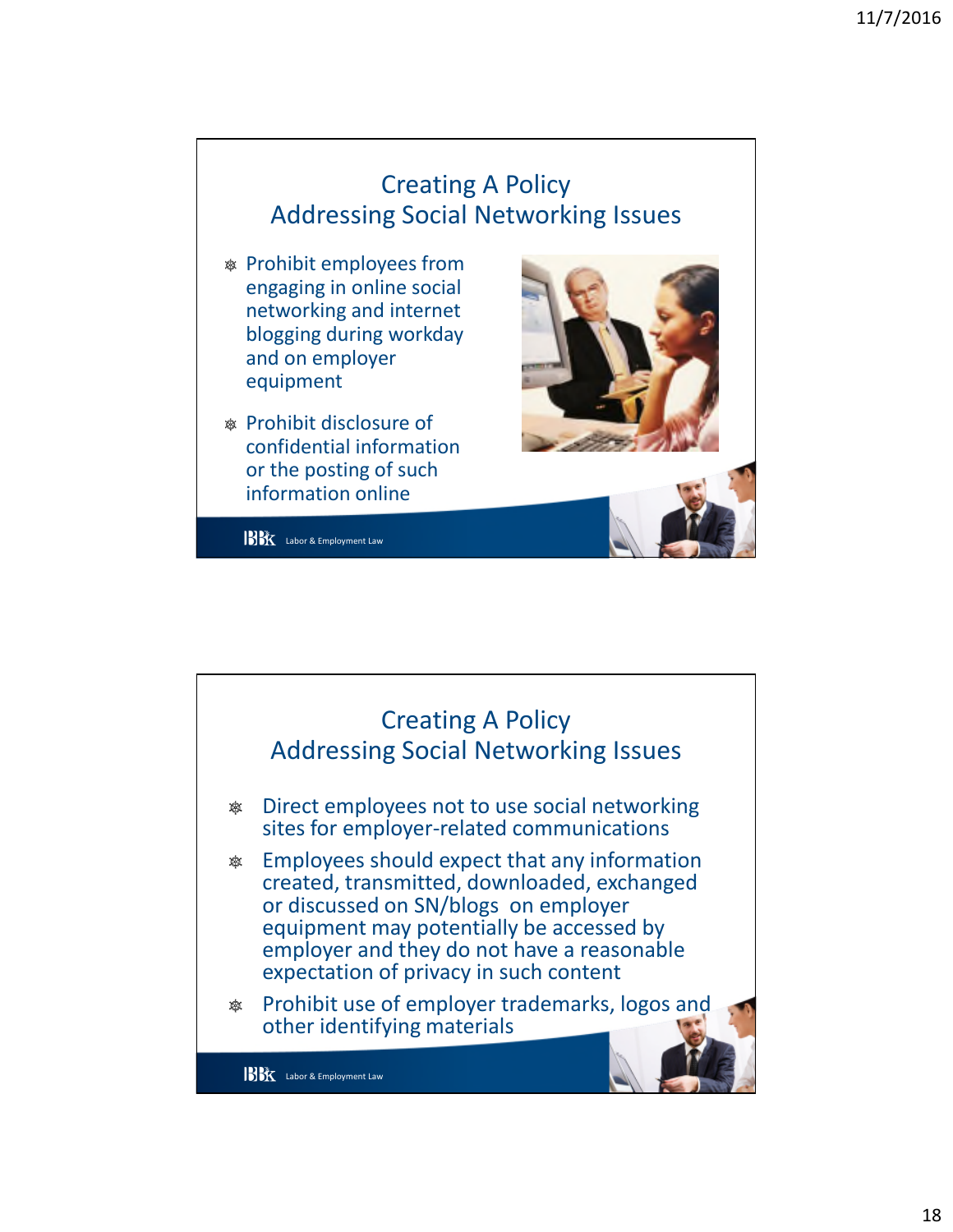